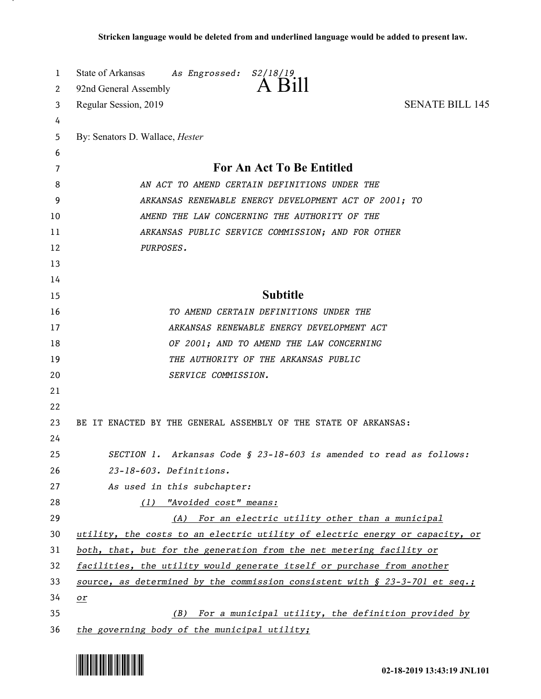| 1  | State of Arkansas<br>As Engrossed:<br>S2/18/19                                 |
|----|--------------------------------------------------------------------------------|
| 2  | A Bill<br>92nd General Assembly                                                |
| 3  | <b>SENATE BILL 145</b><br>Regular Session, 2019                                |
| 4  |                                                                                |
| 5  | By: Senators D. Wallace, <i>Hester</i>                                         |
| 6  |                                                                                |
| 7  | <b>For An Act To Be Entitled</b>                                               |
| 8  | AN ACT TO AMEND CERTAIN DEFINITIONS UNDER THE                                  |
| 9  | ARKANSAS RENEWABLE ENERGY DEVELOPMENT ACT OF 2001; TO                          |
| 10 | AMEND THE LAW CONCERNING THE AUTHORITY OF THE                                  |
| 11 | ARKANSAS PUBLIC SERVICE COMMISSION; AND FOR OTHER                              |
| 12 | PURPOSES.                                                                      |
| 13 |                                                                                |
| 14 |                                                                                |
| 15 | <b>Subtitle</b>                                                                |
| 16 | TO AMEND CERTAIN DEFINITIONS UNDER THE                                         |
| 17 | ARKANSAS RENEWABLE ENERGY DEVELOPMENT ACT                                      |
| 18 | OF 2001; AND TO AMEND THE LAW CONCERNING                                       |
| 19 | THE AUTHORITY OF THE ARKANSAS PUBLIC                                           |
| 20 | SERVICE COMMISSION.                                                            |
| 21 |                                                                                |
| 22 |                                                                                |
| 23 | BE IT ENACTED BY THE GENERAL ASSEMBLY OF THE STATE OF ARKANSAS:                |
| 24 |                                                                                |
| 25 | SECTION 1. Arkansas Code § 23-18-603 is amended to read as follows:            |
| 26 | 23-18-603. Definitions.                                                        |
| 27 | As used in this subchapter:                                                    |
| 28 | (1) "Avoided cost" means:                                                      |
| 29 | For an electric utility other than a municipal<br>(A)                          |
| 30 | utility, the costs to an electric utility of electric energy or capacity, or   |
| 31 | both, that, but for the generation from the net metering facility or           |
| 32 | facilities, the utility would generate itself or purchase from another         |
| 33 | source, as determined by the commission consistent with $\S$ 23-3-701 et seq.; |
| 34 | $or$                                                                           |
| 35 | For a municipal utility, the definition provided by<br>(B)                     |
| 36 | the governing body of the municipal utility;                                   |

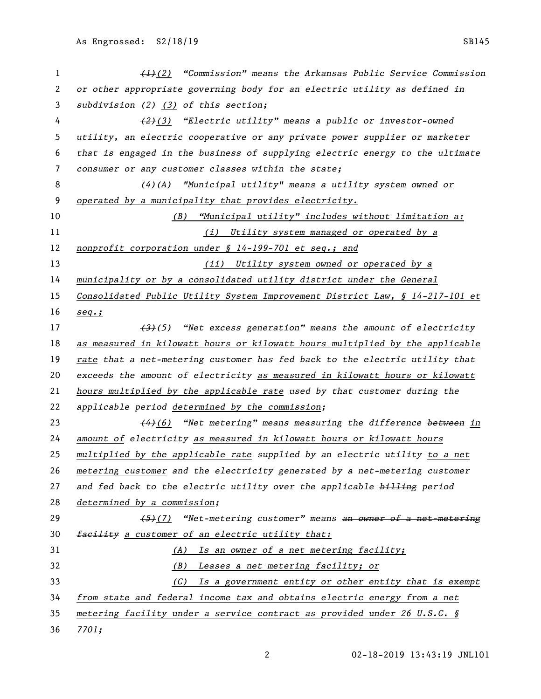| 1  | $\left(\frac{1}{2}\right)$ "Commission" means the Arkansas Public Service Commission |
|----|--------------------------------------------------------------------------------------|
| 2  | or other appropriate governing body for an electric utility as defined in            |
| 3  | subdivision $(2)$ $(3)$ of this section;                                             |
| 4  | $(2)(3)$ "Electric utility" means a public or investor-owned                         |
| 5  | utility, an electric cooperative or any private power supplier or marketer           |
| 6  | that is engaged in the business of supplying electric energy to the ultimate         |
| 7  | consumer or any customer classes within the state;                                   |
| 8  | $(4)$ (A) "Municipal utility" means a utility system owned or                        |
| 9  | operated by a municipality that provides electricity.                                |
| 10 | <u>"Municipal utility" includes without limitation a:</u><br>(B)                     |
| 11 | (i) Utility system managed or operated by a                                          |
| 12 | nonprofit corporation under § 14-199-701 et seq.; and                                |
| 13 | (ii) Utility system owned or operated by a                                           |
| 14 | municipality or by a consolidated utility district under the General                 |
| 15 | Consolidated Public Utility System Improvement District Law, § 14-217-101 et         |
| 16 | $seq.$ ;                                                                             |
| 17 | $\overbrace{3}$ (5) "Net excess generation" means the amount of electricity          |
| 18 | as measured in kilowatt hours or kilowatt hours multiplied by the applicable         |
| 19 | rate that a net-metering customer has fed back to the electric utility that          |
| 20 | exceeds the amount of electricity as measured in kilowatt hours or kilowatt          |
| 21 | hours multiplied by the applicable rate used by that customer during the             |
| 22 | applicable period determined by the commission;                                      |
| 23 | $\frac{44}{6}$ "Net metering" means measuring the difference between in              |
| 24 | amount of electricity as measured in kilowatt hours or kilowatt hours                |
| 25 | multiplied by the applicable rate supplied by an electric utility to a net           |
| 26 | metering customer and the electricity generated by a net-metering customer           |
| 27 | and fed back to the electric utility over the applicable billing period              |
| 28 | determined by a commission;                                                          |
| 29 | $(5)$ (7) "Net-metering customer" means an owner of a net-metering                   |
| 30 | facility a customer of an electric utility that:                                     |
| 31 | (A) Is an owner of a net metering facility;                                          |
| 32 | (B) Leases a net metering facility; or                                               |
| 33 | (C) Is a government entity or other entity that is exempt                            |
| 34 | from state and federal income tax and obtains electric energy from a net             |
| 35 | metering facility under a service contract as provided under 26 U.S.C. §             |
| 36 | <u>7701;</u>                                                                         |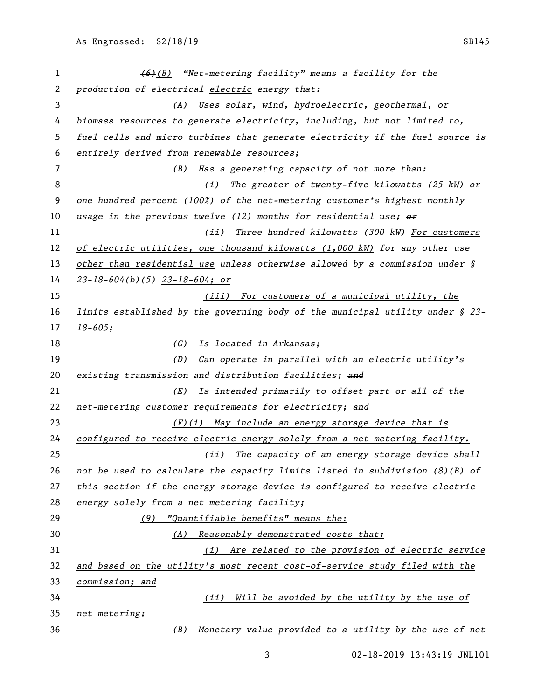*(6)(8) "Net-metering facility" means a facility for the production of electrical electric energy that: (A) Uses solar, wind, hydroelectric, geothermal, or biomass resources to generate electricity, including, but not limited to, fuel cells and micro turbines that generate electricity if the fuel source is entirely derived from renewable resources; (B) Has a generating capacity of not more than: (i) The greater of twenty-five kilowatts (25 kW) or one hundred percent (100%) of the net-metering customer's highest monthly usage in the previous twelve (12) months for residential use; or (ii) Three hundred kilowatts (300 kW) For customers of electric utilities, one thousand kilowatts (1,000 kW) for any other use other than residential use unless otherwise allowed by a commission under § 23-18-604(b)(5) 23-18-604; or (iii) For customers of a municipal utility, the limits established by the governing body of the municipal utility under § 23- 18-605; (C) Is located in Arkansas; (D) Can operate in parallel with an electric utility's existing transmission and distribution facilities; and (E) Is intended primarily to offset part or all of the net-metering customer requirements for electricity; and (F)(i) May include an energy storage device that is configured to receive electric energy solely from a net metering facility. (ii) The capacity of an energy storage device shall not be used to calculate the capacity limits listed in subdivision (8)(B) of this section if the energy storage device is configured to receive electric energy solely from a net metering facility; (9) "Quantifiable benefits" means the: (A) Reasonably demonstrated costs that: (i) Are related to the provision of electric service and based on the utility's most recent cost-of-service study filed with the commission; and (ii) Will be avoided by the utility by the use of net metering; (B) Monetary value provided to a utility by the use of net*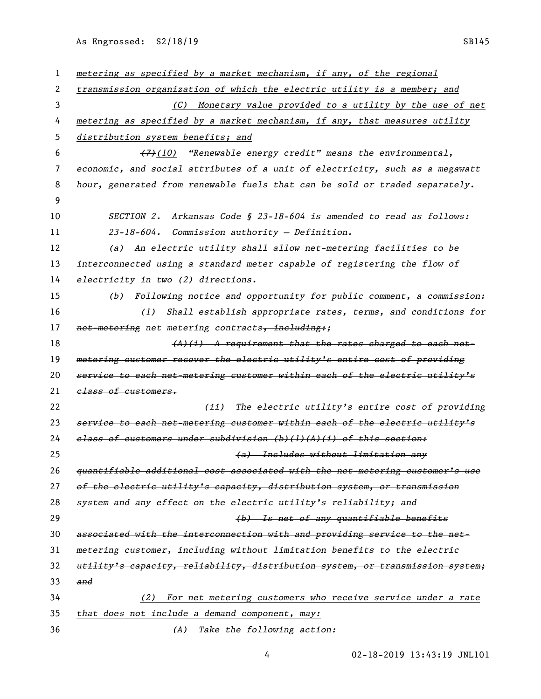As Engrossed: S2/18/19 SB145

| 1  | metering as specified by a market mechanism, if any, of the regional          |
|----|-------------------------------------------------------------------------------|
| 2  | transmission organization of which the electric utility is a member; and      |
| 3  | (C) Monetary value provided to a utility by the use of net                    |
| 4  | metering as specified by a market mechanism, if any, that measures utility    |
| 5  | distribution system benefits; and                                             |
| 6  | $(7)$ (10) "Renewable energy credit" means the environmental,                 |
| 7  | economic, and social attributes of a unit of electricity, such as a megawatt  |
| 8  | hour, generated from renewable fuels that can be sold or traded separately.   |
| 9  |                                                                               |
| 10 | Arkansas Code § 23-18-604 is amended to read as follows:<br><i>SECTION 2.</i> |
| 11 | 23-18-604. Commission authority - Definition.                                 |
| 12 | (a) An electric utility shall allow net-metering facilities to be             |
| 13 | interconnected using a standard meter capable of registering the flow of      |
| 14 | electricity in two (2) directions.                                            |
| 15 | Following notice and opportunity for public comment, a commission:<br>(b)     |
| 16 | Shall establish appropriate rates, terms, and conditions for<br>(1)           |
| 17 | net-metering net metering contracts, including:;                              |
| 18 | $(A)$ (i) A requirement that the rates charged to each net-                   |
| 19 | metering customer recover the electric utility's entire cost of providing     |
| 20 | service to each net-metering customer within each of the electric utility's   |
| 21 | class of customers.                                                           |
| 22 | (ii) The electric utility's entire cost of providing                          |
| 23 | service to each net-metering customer within each of the electric utility's   |
| 24 | elass of customers under subdivision (b)(l)(A)(i) of this section:            |
| 25 | (a) Includes without limitation any                                           |
| 26 | quantifiable additional cost associated with the net-metering customer's use  |
| 27 | of the electric utility's capacity, distribution system, or transmission      |
| 28 | system and any effect on the electric utility's reliability; and              |
| 29 | (b) Is net of any quantifiable benefits                                       |
| 30 | associated with the interconnection with and providing service to the net-    |
| 31 | metering customer, including without limitation benefits to the electric      |
| 32 | utility's capacity, reliability, distribution system, or transmission system; |
| 33 | and                                                                           |
| 34 | For net metering customers who receive service under a rate<br>(2)            |
| 35 | that does not include a demand component, may:                                |
| 36 | (A) Take the following action:                                                |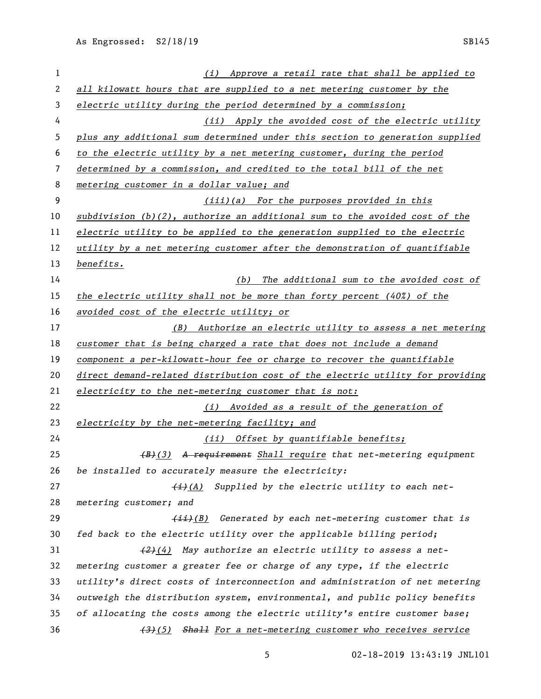*(i) Approve a retail rate that shall be applied to all kilowatt hours that are supplied to a net metering customer by the electric utility during the period determined by a commission; (ii) Apply the avoided cost of the electric utility plus any additional sum determined under this section to generation supplied to the electric utility by a net metering customer, during the period determined by a commission, and credited to the total bill of the net metering customer in a dollar value; and (iii)(a) For the purposes provided in this subdivision (b)(2), authorize an additional sum to the avoided cost of the electric utility to be applied to the generation supplied to the electric utility by a net metering customer after the demonstration of quantifiable benefits. (b) The additional sum to the avoided cost of the electric utility shall not be more than forty percent (40%) of the avoided cost of the electric utility; or (B) Authorize an electric utility to assess a net metering customer that is being charged a rate that does not include a demand component a per-kilowatt-hour fee or charge to recover the quantifiable direct demand-related distribution cost of the electric utility for providing electricity to the net-metering customer that is not: (i) Avoided as a result of the generation of electricity by the net-metering facility; and (ii) Offset by quantifiable benefits; (B)(3) A requirement Shall require that net-metering equipment be installed to accurately measure the electricity: (i)(A) Supplied by the electric utility to each net- metering customer; and (ii)(B) Generated by each net-metering customer that is fed back to the electric utility over the applicable billing period; (2)(4) May authorize an electric utility to assess a net- metering customer a greater fee or charge of any type, if the electric utility's direct costs of interconnection and administration of net metering outweigh the distribution system, environmental, and public policy benefits of allocating the costs among the electric utility's entire customer base; (3)(5) Shall For a net-metering customer who receives service*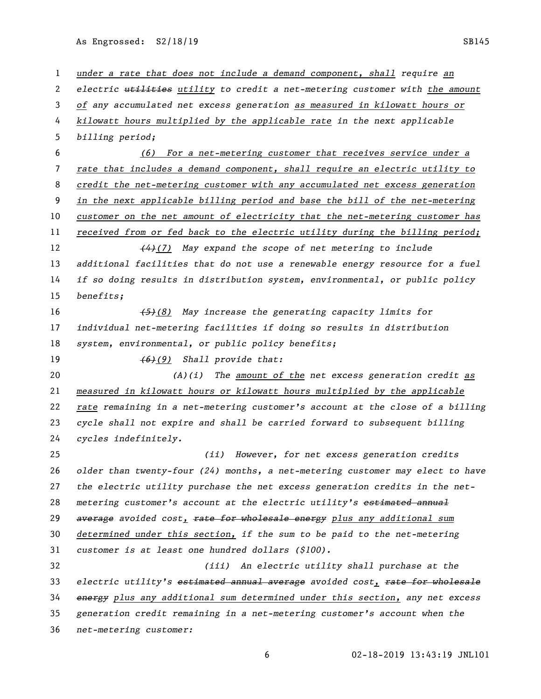As Engrossed: S2/18/19 SB145

 *under a rate that does not include a demand component, shall require an electric utilities utility to credit a net-metering customer with the amount of any accumulated net excess generation as measured in kilowatt hours or kilowatt hours multiplied by the applicable rate in the next applicable billing period; (6) For a net-metering customer that receives service under a rate that includes a demand component, shall require an electric utility to credit the net-metering customer with any accumulated net excess generation in the next applicable billing period and base the bill of the net-metering customer on the net amount of electricity that the net-metering customer has received from or fed back to the electric utility during the billing period; (4)(7) May expand the scope of net metering to include additional facilities that do not use a renewable energy resource for a fuel if so doing results in distribution system, environmental, or public policy benefits; (5)(8) May increase the generating capacity limits for individual net-metering facilities if doing so results in distribution system, environmental, or public policy benefits; (6)(9) Shall provide that: (A)(i) The amount of the net excess generation credit as measured in kilowatt hours or kilowatt hours multiplied by the applicable rate remaining in a net-metering customer's account at the close of a billing cycle shall not expire and shall be carried forward to subsequent billing cycles indefinitely. (ii) However, for net excess generation credits older than twenty-four (24) months, a net-metering customer may elect to have the electric utility purchase the net excess generation credits in the net- metering customer's account at the electric utility's estimated annual average avoided cost, rate for wholesale energy plus any additional sum determined under this section, if the sum to be paid to the net-metering customer is at least one hundred dollars (\$100). (iii) An electric utility shall purchase at the electric utility's estimated annual average avoided cost, rate for wholesale energy plus any additional sum determined under this section, any net excess generation credit remaining in a net-metering customer's account when the net-metering customer:*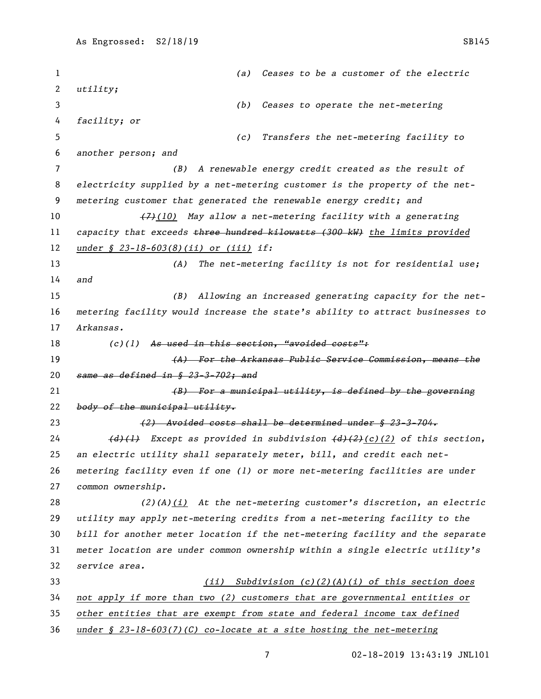*(a) Ceases to be a customer of the electric utility; (b) Ceases to operate the net-metering facility; or (c) Transfers the net-metering facility to another person; and (B) A renewable energy credit created as the result of electricity supplied by a net-metering customer is the property of the net- metering customer that generated the renewable energy credit; and (7)(10) May allow a net-metering facility with a generating capacity that exceeds three hundred kilowatts (300 kW) the limits provided under § 23-18-603(8)(ii) or (iii) if: (A) The net-metering facility is not for residential use; and (B) Allowing an increased generating capacity for the net- metering facility would increase the state's ability to attract businesses to Arkansas. (c)(1) As used in this section, "avoided costs": (A) For the Arkansas Public Service Commission, means the same as defined in § 23-3-702; and (B) For a municipal utility, is defined by the governing body of the municipal utility. (2) Avoided costs shall be determined under § 23-3-704. (d)(1) Except as provided in subdivision (d)(2)(c)(2) of this section, an electric utility shall separately meter, bill, and credit each net- metering facility even if one (1) or more net-metering facilities are under common ownership. (2)(A)(i) At the net-metering customer's discretion, an electric utility may apply net-metering credits from a net-metering facility to the bill for another meter location if the net-metering facility and the separate meter location are under common ownership within a single electric utility's service area. (ii) Subdivision (c)(2)(A)(i) of this section does not apply if more than two (2) customers that are governmental entities or other entities that are exempt from state and federal income tax defined under § 23-18-603(7)(C) co-locate at a site hosting the net-metering*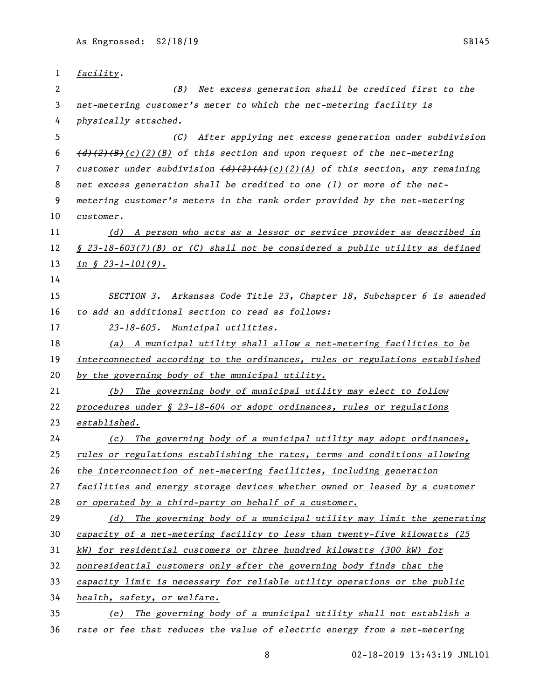| 1  | facility.                                                                                                                    |
|----|------------------------------------------------------------------------------------------------------------------------------|
| 2  | (B) Net excess generation shall be credited first to the                                                                     |
| 3  | net-metering customer's meter to which the net-metering facility is                                                          |
| 4  | physically attached.                                                                                                         |
| 5  | After applying net excess generation under subdivision<br>(C)                                                                |
| 6  | $\left(\frac{d}{2}(2)(B)(c)(1)$ of this section and upon request of the net-metering                                         |
| 7  | customer under subdivision $\left(\frac{d}{2}\right)\left(\frac{2}{4}\right)(c)(\frac{2}{4})$ of this section, any remaining |
| 8  | net excess generation shall be credited to one (1) or more of the net-                                                       |
| 9  | metering customer's meters in the rank order provided by the net-metering                                                    |
| 10 | customer.                                                                                                                    |
| 11 | (d) A person who acts as a lessor or service provider as described in                                                        |
| 12 | $\frac{6}{5}$ 23-18-603(7)(B) or (C) shall not be considered a public utility as defined                                     |
| 13 | $\text{in} \ \ \text{$s$} \ \ 23 - 1 - 101(9)$ .                                                                             |
| 14 |                                                                                                                              |
| 15 | SECTION 3. Arkansas Code Title 23, Chapter 18, Subchapter 6 is amended                                                       |
| 16 | to add an additional section to read as follows:                                                                             |
| 17 | 23-18-605. Municipal utilities.                                                                                              |
| 18 | (a) A municipal utility shall allow a net-metering facilities to be                                                          |
| 19 | interconnected according to the ordinances, rules or regulations established                                                 |
| 20 | by the governing body of the municipal utility.                                                                              |
| 21 | The governing body of municipal utility may elect to follow<br>(b)                                                           |
| 22 | procedures under § 23-18-604 or adopt ordinances, rules or regulations                                                       |
| 23 | established.                                                                                                                 |
| 24 | The governing body of a municipal utility may adopt ordinances,<br>(c)                                                       |
| 25 | rules or regulations establishing the rates, terms and conditions allowing                                                   |
| 26 | the interconnection of net-metering facilities, including generation                                                         |
| 27 | facilities and energy storage devices whether owned or leased by a customer                                                  |
| 28 | or operated by a third-party on behalf of a customer.                                                                        |
| 29 | The governing body of a municipal utility may limit the generating<br>(d)                                                    |
| 30 | capacity of a net-metering facility to less than twenty-five kilowatts (25)                                                  |
| 31 | kW) for residential customers or three hundred kilowatts (300 kW) for                                                        |
| 32 | nonresidential customers only after the governing body finds that the                                                        |
| 33 | capacity limit is necessary for reliable utility operations or the public                                                    |
| 34 | health, safety, or welfare.                                                                                                  |
| 35 | The governing body of a municipal utility shall not establish a<br>(e)                                                       |
|    |                                                                                                                              |